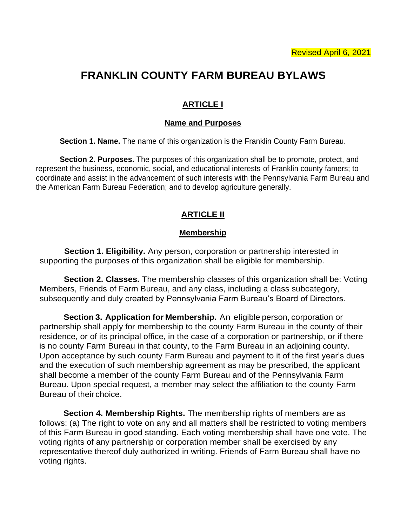# **FRANKLIN COUNTY FARM BUREAU BYLAWS**

## **ARTICLE I**

### **Name and Purposes**

**Section 1. Name.** The name of this organization is the Franklin County Farm Bureau.

**Section 2. Purposes.** The purposes of this organization shall be to promote, protect, and represent the business, economic, social, and educational interests of Franklin county famers; to coordinate and assist in the advancement of such interests with the Pennsylvania Farm Bureau and the American Farm Bureau Federation; and to develop agriculture generally.

### **ARTICLE II**

### **Membership**

**Section 1. Eligibility.** Any person, corporation or partnership interested in supporting the purposes of this organization shall be eligible for membership.

**Section 2. Classes.** The membership classes of this organization shall be: Voting Members, Friends of Farm Bureau, and any class, including a class subcategory, subsequently and duly created by Pennsylvania Farm Bureau's Board of Directors.

**Section 3. Application for Membership.** An eligible person, corporation or partnership shall apply for membership to the county Farm Bureau in the county of their residence, or of its principal office, in the case of a corporation or partnership, or if there is no county Farm Bureau in that county, to the Farm Bureau in an adjoining county. Upon acceptance by such county Farm Bureau and payment to it of the first year's dues and the execution of such membership agreement as may be prescribed, the applicant shall become a member of the county Farm Bureau and of the Pennsylvania Farm Bureau. Upon special request, a member may select the affiliation to the county Farm Bureau of their choice.

**Section 4. Membership Rights.** The membership rights of members are as follows: (a) The right to vote on any and all matters shall be restricted to voting members of this Farm Bureau in good standing. Each voting membership shall have one vote. The voting rights of any partnership or corporation member shall be exercised by any representative thereof duly authorized in writing. Friends of Farm Bureau shall have no voting rights.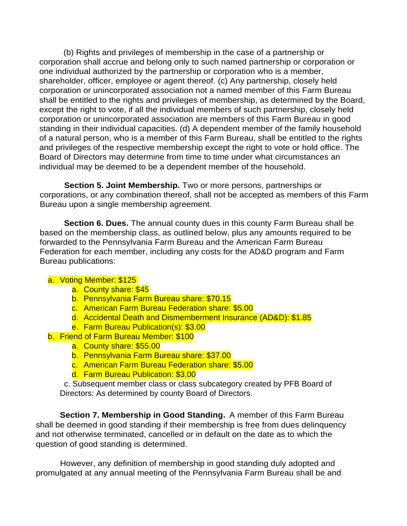(b) Rights and privileges of membership in the case of a partnership or corporation shall accrue and belong only to such named partnership or corporation or one individual authorized by the partnership or corporation who is a member, shareholder, officer, employee or agent thereof. (c) Any partnership, closely held corporation or unincorporated association not a named member of this Farm Bureau shall be entitled to the rights and privileges of membership, as determined by the Board, except the right to vote, if all the individual members of such partnership, closely held corporation or unincorporated association are members of this Farm Bureau in good standing in their individual capacities. (d) A dependent member of the family household of a natural person, who is a member of this Farm Bureau, shall be entitled to the rights and privileges of the respective membership except the right to vote or hold office. The Board of Directors may determine from time to time under what circumstances an individual may be deemed to be a dependent member of the household.

**Section 5. Joint Membership.** Two or more persons, partnerships or corporations, or any combination thereof, shall not be accepted as members of this Farm Bureau upon a single membership agreement.

**Section 6. Dues.** The annual county dues in this county Farm Bureau shall be based on the membership class, as outlined below, plus any amounts required to be forwarded to the Pennsylvania Farm Bureau and the American Farm Bureau Federation for each member, including any costs for the AD&D program and Farm Bureau publications:

### a. Voting Member: \$125

- a. County share: \$45
- b. Pennsylvania Farm Bureau share: \$70.15
- c. American Farm Bureau Federation share: \$5.00
- d. Accidental Death and Dismemberment Insurance (AD&D): \$1.85
- e. Farm Bureau Publication(s): \$3.00
- b. Friend of Farm Bureau Member: \$100
	- a. County share: \$55.00
	- b. Pennsylvania Farm Bureau share: \$37.00
	- c. American Farm Bureau Federation share: \$5.00
	- d. Farm Bureau Publication: \$3.00

c. Subsequent member class or class subcategory created by PFB Board of Directors: As determined by county Board of Directors.

**Section 7. Membership in Good Standing.** A member of this Farm Bureau shall be deemed in good standing if their membership is free from dues delinquency and not otherwise terminated, cancelled or in default on the date as to which the question of good standing is determined.

However, any definition of membership in good standing duly adopted and promulgated at any annual meeting of the Pennsylvania Farm Bureau shall be and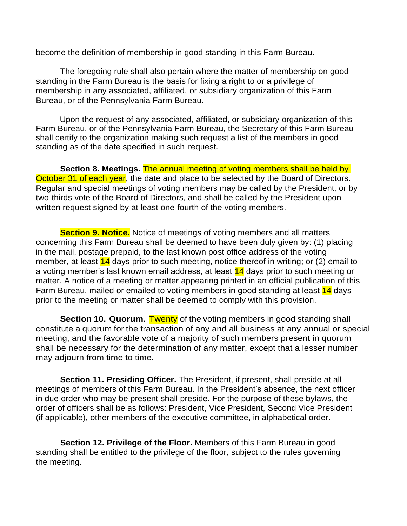become the definition of membership in good standing in this Farm Bureau.

The foregoing rule shall also pertain where the matter of membership on good standing in the Farm Bureau is the basis for fixing a right to or a privilege of membership in any associated, affiliated, or subsidiary organization of this Farm Bureau, or of the Pennsylvania Farm Bureau.

Upon the request of any associated, affiliated, or subsidiary organization of this Farm Bureau, or of the Pennsylvania Farm Bureau, the Secretary of this Farm Bureau shall certify to the organization making such request a list of the members in good standing as of the date specified in such request.

**Section 8. Meetings.** The annual meeting of voting members shall be held by October 31 of each year, the date and place to be selected by the Board of Directors. Regular and special meetings of voting members may be called by the President, or by two-thirds vote of the Board of Directors, and shall be called by the President upon written request signed by at least one-fourth of the voting members.

**Section 9. Notice.** Notice of meetings of voting members and all matters concerning this Farm Bureau shall be deemed to have been duly given by: (1) placing in the mail, postage prepaid, to the last known post office address of the voting member, at least  $14$  days prior to such meeting, notice thereof in writing; or (2) email to a voting member's last known email address, at least 14 days prior to such meeting or matter. A notice of a meeting or matter appearing printed in an official publication of this Farm Bureau, mailed or emailed to voting members in good standing at least 14 days prior to the meeting or matter shall be deemed to comply with this provision.

**Section 10. Quorum.** Twenty of the voting members in good standing shall constitute a quorum for the transaction of any and all business at any annual or special meeting, and the favorable vote of a majority of such members present in quorum shall be necessary for the determination of any matter, except that a lesser number may adjourn from time to time.

**Section 11. Presiding Officer.** The President, if present, shall preside at all meetings of members of this Farm Bureau. In the President's absence, the next officer in due order who may be present shall preside. For the purpose of these bylaws, the order of officers shall be as follows: President, Vice President, Second Vice President (if applicable), other members of the executive committee, in alphabetical order.

**Section 12. Privilege of the Floor.** Members of this Farm Bureau in good standing shall be entitled to the privilege of the floor, subject to the rules governing the meeting.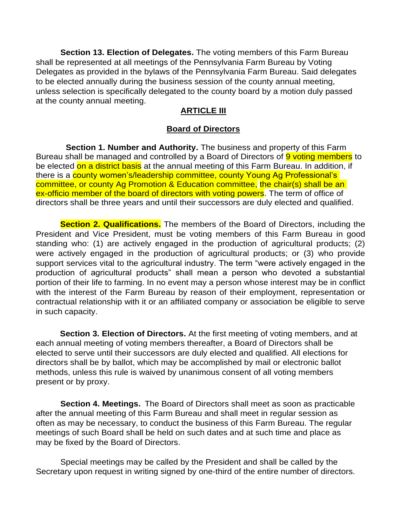**Section 13. Election of Delegates.** The voting members of this Farm Bureau shall be represented at all meetings of the Pennsylvania Farm Bureau by Voting Delegates as provided in the bylaws of the Pennsylvania Farm Bureau. Said delegates to be elected annually during the business session of the county annual meeting, unless selection is specifically delegated to the county board by a motion duly passed at the county annual meeting.

### **ARTICLE III**

### **Board of Directors**

**Section 1. Number and Authority.** The business and property of this Farm Bureau shall be managed and controlled by a Board of Directors of 9 voting members to be elected on a district basis at the annual meeting of this Farm Bureau. In addition, if there is a county women's/leadership committee, county Young Ag Professional's committee, or county Ag Promotion & Education committee, the chair(s) shall be an ex-officio member of the board of directors with voting powers. The term of office of directors shall be three years and until their successors are duly elected and qualified.

**Section 2. Qualifications.** The members of the Board of Directors, including the President and Vice President, must be voting members of this Farm Bureau in good standing who: (1) are actively engaged in the production of agricultural products; (2) were actively engaged in the production of agricultural products; or (3) who provide support services vital to the agricultural industry. The term "were actively engaged in the production of agricultural products" shall mean a person who devoted a substantial portion of their life to farming. In no event may a person whose interest may be in conflict with the interest of the Farm Bureau by reason of their employment, representation or contractual relationship with it or an affiliated company or association be eligible to serve in such capacity.

**Section 3. Election of Directors.** At the first meeting of voting members, and at each annual meeting of voting members thereafter, a Board of Directors shall be elected to serve until their successors are duly elected and qualified. All elections for directors shall be by ballot, which may be accomplished by mail or electronic ballot methods, unless this rule is waived by unanimous consent of all voting members present or by proxy.

**Section 4. Meetings.** The Board of Directors shall meet as soon as practicable after the annual meeting of this Farm Bureau and shall meet in regular session as often as may be necessary, to conduct the business of this Farm Bureau. The regular meetings of such Board shall be held on such dates and at such time and place as may be fixed by the Board of Directors.

Special meetings may be called by the President and shall be called by the Secretary upon request in writing signed by one-third of the entire number of directors.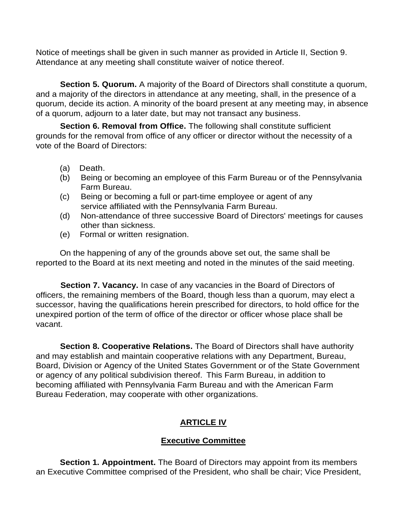Notice of meetings shall be given in such manner as provided in Article II, Section 9. Attendance at any meeting shall constitute waiver of notice thereof.

**Section 5. Quorum.** A majority of the Board of Directors shall constitute a quorum, and a majority of the directors in attendance at any meeting, shall, in the presence of a quorum, decide its action. A minority of the board present at any meeting may, in absence of a quorum, adjourn to a later date, but may not transact any business.

**Section 6. Removal from Office.** The following shall constitute sufficient grounds for the removal from office of any officer or director without the necessity of a vote of the Board of Directors:

- (a) Death.
- (b) Being or becoming an employee of this Farm Bureau or of the Pennsylvania Farm Bureau.
- (c) Being or becoming a full or part-time employee or agent of any service affiliated with the Pennsylvania Farm Bureau.
- (d) Non-attendance of three successive Board of Directors' meetings for causes other than sickness.
- (e) Formal or written resignation.

On the happening of any of the grounds above set out, the same shall be reported to the Board at its next meeting and noted in the minutes of the said meeting.

**Section 7. Vacancy.** In case of any vacancies in the Board of Directors of officers, the remaining members of the Board, though less than a quorum, may elect a successor, having the qualifications herein prescribed for directors, to hold office for the unexpired portion of the term of office of the director or officer whose place shall be vacant.

**Section 8. Cooperative Relations.** The Board of Directors shall have authority and may establish and maintain cooperative relations with any Department, Bureau, Board, Division or Agency of the United States Government or of the State Government or agency of any political subdivision thereof. This Farm Bureau, in addition to becoming affiliated with Pennsylvania Farm Bureau and with the American Farm Bureau Federation, may cooperate with other organizations.

# **ARTICLE IV**

# **Executive Committee**

**Section 1. Appointment.** The Board of Directors may appoint from its members an Executive Committee comprised of the President, who shall be chair; Vice President,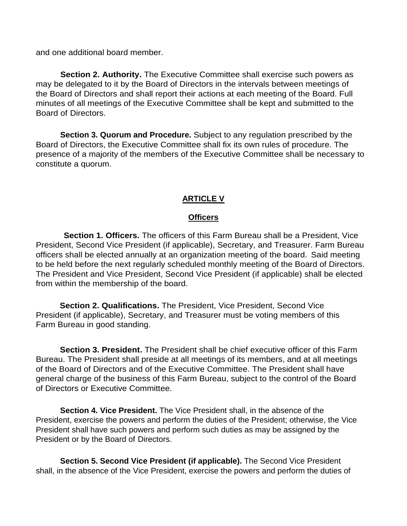and one additional board member.

**Section 2. Authority.** The Executive Committee shall exercise such powers as may be delegated to it by the Board of Directors in the intervals between meetings of the Board of Directors and shall report their actions at each meeting of the Board. Full minutes of all meetings of the Executive Committee shall be kept and submitted to the Board of Directors.

**Section 3. Quorum and Procedure.** Subject to any regulation prescribed by the Board of Directors, the Executive Committee shall fix its own rules of procedure. The presence of a majority of the members of the Executive Committee shall be necessary to constitute a quorum.

### **ARTICLE V**

### **Officers**

**Section 1. Officers.** The officers of this Farm Bureau shall be a President, Vice President, Second Vice President (if applicable), Secretary, and Treasurer. Farm Bureau officers shall be elected annually at an organization meeting of the board. Said meeting to be held before the next regularly scheduled monthly meeting of the Board of Directors. The President and Vice President, Second Vice President (if applicable) shall be elected from within the membership of the board.

**Section 2. Qualifications.** The President, Vice President, Second Vice President (if applicable), Secretary, and Treasurer must be voting members of this Farm Bureau in good standing.

**Section 3. President.** The President shall be chief executive officer of this Farm Bureau. The President shall preside at all meetings of its members, and at all meetings of the Board of Directors and of the Executive Committee. The President shall have general charge of the business of this Farm Bureau, subject to the control of the Board of Directors or Executive Committee.

**Section 4. Vice President.** The Vice President shall, in the absence of the President, exercise the powers and perform the duties of the President; otherwise, the Vice President shall have such powers and perform such duties as may be assigned by the President or by the Board of Directors.

**Section 5. Second Vice President (if applicable).** The Second Vice President shall, in the absence of the Vice President, exercise the powers and perform the duties of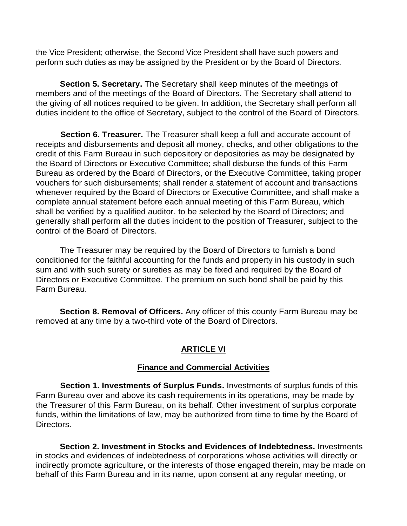the Vice President; otherwise, the Second Vice President shall have such powers and perform such duties as may be assigned by the President or by the Board of Directors.

**Section 5. Secretary.** The Secretary shall keep minutes of the meetings of members and of the meetings of the Board of Directors. The Secretary shall attend to the giving of all notices required to be given. In addition, the Secretary shall perform all duties incident to the office of Secretary, subject to the control of the Board of Directors.

**Section 6. Treasurer.** The Treasurer shall keep a full and accurate account of receipts and disbursements and deposit all money, checks, and other obligations to the credit of this Farm Bureau in such depository or depositories as may be designated by the Board of Directors or Executive Committee; shall disburse the funds of this Farm Bureau as ordered by the Board of Directors, or the Executive Committee, taking proper vouchers for such disbursements; shall render a statement of account and transactions whenever required by the Board of Directors or Executive Committee, and shall make a complete annual statement before each annual meeting of this Farm Bureau, which shall be verified by a qualified auditor, to be selected by the Board of Directors; and generally shall perform all the duties incident to the position of Treasurer, subject to the control of the Board of Directors.

The Treasurer may be required by the Board of Directors to furnish a bond conditioned for the faithful accounting for the funds and property in his custody in such sum and with such surety or sureties as may be fixed and required by the Board of Directors or Executive Committee. The premium on such bond shall be paid by this Farm Bureau.

**Section 8. Removal of Officers.** Any officer of this county Farm Bureau may be removed at any time by a two-third vote of the Board of Directors.

### **ARTICLE VI**

### **Finance and Commercial Activities**

**Section 1. Investments of Surplus Funds.** Investments of surplus funds of this Farm Bureau over and above its cash requirements in its operations, may be made by the Treasurer of this Farm Bureau, on its behalf. Other investment of surplus corporate funds, within the limitations of law, may be authorized from time to time by the Board of Directors.

**Section 2. Investment in Stocks and Evidences of Indebtedness.** Investments in stocks and evidences of indebtedness of corporations whose activities will directly or indirectly promote agriculture, or the interests of those engaged therein, may be made on behalf of this Farm Bureau and in its name, upon consent at any regular meeting, or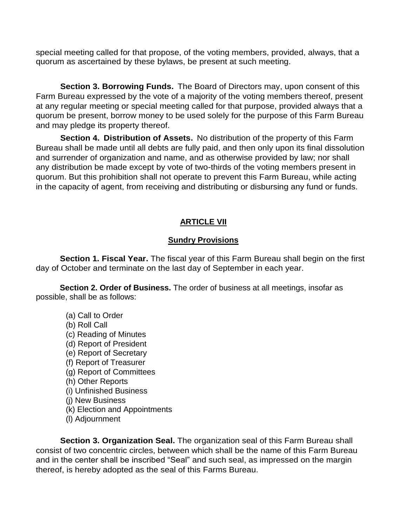special meeting called for that propose, of the voting members, provided, always, that a quorum as ascertained by these bylaws, be present at such meeting.

**Section 3. Borrowing Funds.** The Board of Directors may, upon consent of this Farm Bureau expressed by the vote of a majority of the voting members thereof, present at any regular meeting or special meeting called for that purpose, provided always that a quorum be present, borrow money to be used solely for the purpose of this Farm Bureau and may pledge its property thereof.

**Section 4. Distribution of Assets.** No distribution of the property of this Farm Bureau shall be made until all debts are fully paid, and then only upon its final dissolution and surrender of organization and name, and as otherwise provided by law; nor shall any distribution be made except by vote of two-thirds of the voting members present in quorum. But this prohibition shall not operate to prevent this Farm Bureau, while acting in the capacity of agent, from receiving and distributing or disbursing any fund or funds.

# **ARTICLE VII**

## **Sundry Provisions**

**Section 1. Fiscal Year.** The fiscal year of this Farm Bureau shall begin on the first day of October and terminate on the last day of September in each year.

**Section 2. Order of Business.** The order of business at all meetings, insofar as possible, shall be as follows:

- (a) Call to Order
- (b) Roll Call
- (c) Reading of Minutes
- (d) Report of President
- (e) Report of Secretary
- (f) Report of Treasurer
- (g) Report of Committees
- (h) Other Reports
- (i) Unfinished Business
- (j) New Business
- (k) Election and Appointments
- (l) Adjournment

**Section 3. Organization Seal.** The organization seal of this Farm Bureau shall consist of two concentric circles, between which shall be the name of this Farm Bureau and in the center shall be inscribed "Seal" and such seal, as impressed on the margin thereof, is hereby adopted as the seal of this Farms Bureau.